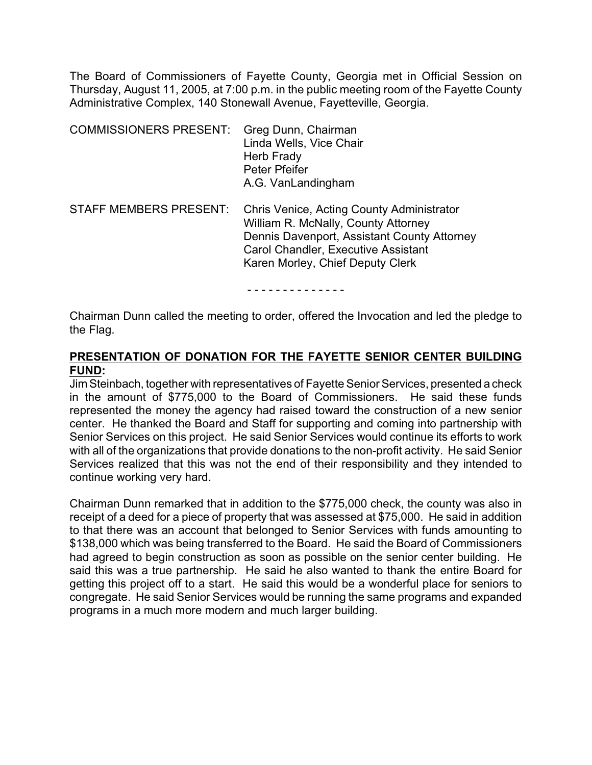The Board of Commissioners of Fayette County, Georgia met in Official Session on Thursday, August 11, 2005, at 7:00 p.m. in the public meeting room of the Fayette County Administrative Complex, 140 Stonewall Avenue, Fayetteville, Georgia.

| <b>COMMISSIONERS PRESENT:</b> | Greg Dunn, Chairman<br>Linda Wells, Vice Chair<br>Herb Frady<br>Peter Pfeifer<br>A.G. VanLandingham                                                                                                               |
|-------------------------------|-------------------------------------------------------------------------------------------------------------------------------------------------------------------------------------------------------------------|
| <b>STAFF MEMBERS PRESENT:</b> | Chris Venice, Acting County Administrator<br>William R. McNally, County Attorney<br>Dennis Davenport, Assistant County Attorney<br><b>Carol Chandler, Executive Assistant</b><br>Karen Morley, Chief Deputy Clerk |

- - - - - - - - - - - - - -

Chairman Dunn called the meeting to order, offered the Invocation and led the pledge to the Flag.

# **PRESENTATION OF DONATION FOR THE FAYETTE SENIOR CENTER BUILDING FUND:**

Jim Steinbach, together with representatives of Fayette Senior Services, presented a check in the amount of \$775,000 to the Board of Commissioners. He said these funds represented the money the agency had raised toward the construction of a new senior center. He thanked the Board and Staff for supporting and coming into partnership with Senior Services on this project. He said Senior Services would continue its efforts to work with all of the organizations that provide donations to the non-profit activity. He said Senior Services realized that this was not the end of their responsibility and they intended to continue working very hard.

Chairman Dunn remarked that in addition to the \$775,000 check, the county was also in receipt of a deed for a piece of property that was assessed at \$75,000. He said in addition to that there was an account that belonged to Senior Services with funds amounting to \$138,000 which was being transferred to the Board. He said the Board of Commissioners had agreed to begin construction as soon as possible on the senior center building. He said this was a true partnership. He said he also wanted to thank the entire Board for getting this project off to a start. He said this would be a wonderful place for seniors to congregate. He said Senior Services would be running the same programs and expanded programs in a much more modern and much larger building.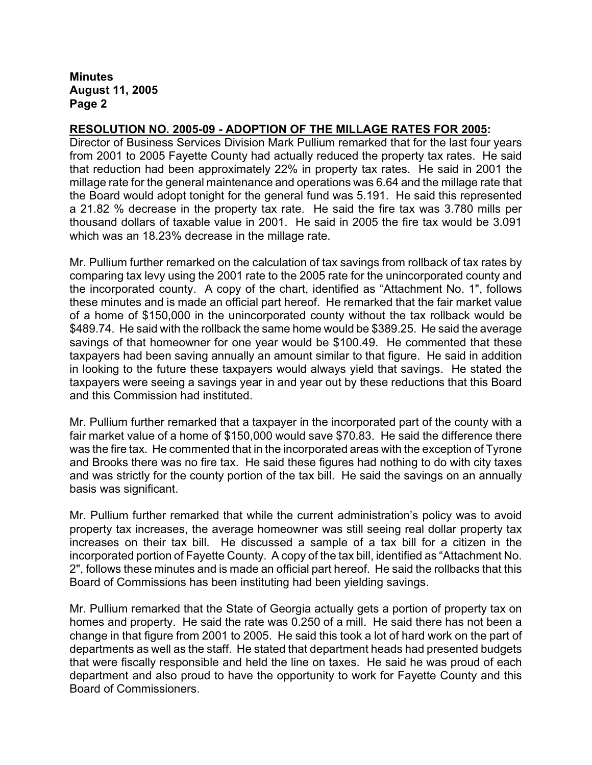### **RESOLUTION NO. 2005-09 - ADOPTION OF THE MILLAGE RATES FOR 2005:**

Director of Business Services Division Mark Pullium remarked that for the last four years from 2001 to 2005 Fayette County had actually reduced the property tax rates. He said that reduction had been approximately 22% in property tax rates. He said in 2001 the millage rate for the general maintenance and operations was 6.64 and the millage rate that the Board would adopt tonight for the general fund was 5.191. He said this represented a 21.82 % decrease in the property tax rate. He said the fire tax was 3.780 mills per thousand dollars of taxable value in 2001. He said in 2005 the fire tax would be 3.091 which was an 18.23% decrease in the millage rate.

Mr. Pullium further remarked on the calculation of tax savings from rollback of tax rates by comparing tax levy using the 2001 rate to the 2005 rate for the unincorporated county and the incorporated county. A copy of the chart, identified as "Attachment No. 1", follows these minutes and is made an official part hereof. He remarked that the fair market value of a home of \$150,000 in the unincorporated county without the tax rollback would be \$489.74. He said with the rollback the same home would be \$389.25. He said the average savings of that homeowner for one year would be \$100.49. He commented that these taxpayers had been saving annually an amount similar to that figure. He said in addition in looking to the future these taxpayers would always yield that savings. He stated the taxpayers were seeing a savings year in and year out by these reductions that this Board and this Commission had instituted.

Mr. Pullium further remarked that a taxpayer in the incorporated part of the county with a fair market value of a home of \$150,000 would save \$70.83. He said the difference there was the fire tax. He commented that in the incorporated areas with the exception of Tyrone and Brooks there was no fire tax. He said these figures had nothing to do with city taxes and was strictly for the county portion of the tax bill. He said the savings on an annually basis was significant.

Mr. Pullium further remarked that while the current administration's policy was to avoid property tax increases, the average homeowner was still seeing real dollar property tax increases on their tax bill. He discussed a sample of a tax bill for a citizen in the incorporated portion of Fayette County. A copy of the tax bill, identified as "Attachment No. 2", follows these minutes and is made an official part hereof. He said the rollbacks that this Board of Commissions has been instituting had been yielding savings.

Mr. Pullium remarked that the State of Georgia actually gets a portion of property tax on homes and property. He said the rate was 0.250 of a mill. He said there has not been a change in that figure from 2001 to 2005. He said this took a lot of hard work on the part of departments as well as the staff. He stated that department heads had presented budgets that were fiscally responsible and held the line on taxes. He said he was proud of each department and also proud to have the opportunity to work for Fayette County and this Board of Commissioners.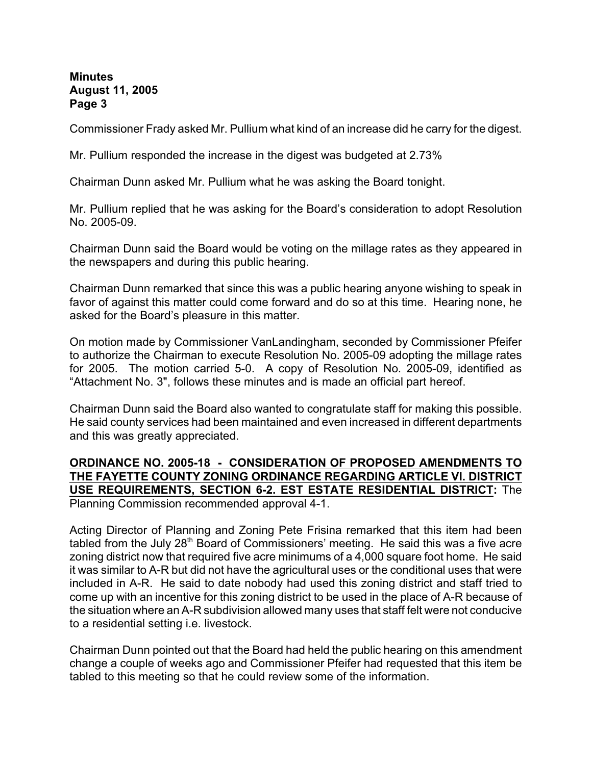Commissioner Frady asked Mr. Pullium what kind of an increase did he carry for the digest.

Mr. Pullium responded the increase in the digest was budgeted at 2.73%

Chairman Dunn asked Mr. Pullium what he was asking the Board tonight.

Mr. Pullium replied that he was asking for the Board's consideration to adopt Resolution No. 2005-09.

Chairman Dunn said the Board would be voting on the millage rates as they appeared in the newspapers and during this public hearing.

Chairman Dunn remarked that since this was a public hearing anyone wishing to speak in favor of against this matter could come forward and do so at this time. Hearing none, he asked for the Board's pleasure in this matter.

On motion made by Commissioner VanLandingham, seconded by Commissioner Pfeifer to authorize the Chairman to execute Resolution No. 2005-09 adopting the millage rates for 2005. The motion carried 5-0. A copy of Resolution No. 2005-09, identified as "Attachment No. 3", follows these minutes and is made an official part hereof.

Chairman Dunn said the Board also wanted to congratulate staff for making this possible. He said county services had been maintained and even increased in different departments and this was greatly appreciated.

### **ORDINANCE NO. 2005-18 - CONSIDERATION OF PROPOSED AMENDMENTS TO THE FAYETTE COUNTY ZONING ORDINANCE REGARDING ARTICLE VI. DISTRICT USE REQUIREMENTS, SECTION 6-2. EST ESTATE RESIDENTIAL DISTRICT:** The Planning Commission recommended approval 4-1.

Acting Director of Planning and Zoning Pete Frisina remarked that this item had been tabled from the July  $28<sup>th</sup>$  Board of Commissioners' meeting. He said this was a five acre zoning district now that required five acre minimums of a 4,000 square foot home. He said it was similar to A-R but did not have the agricultural uses or the conditional uses that were included in A-R. He said to date nobody had used this zoning district and staff tried to come up with an incentive for this zoning district to be used in the place of A-R because of the situation where an A-R subdivision allowed many uses that staff felt were not conducive to a residential setting i.e. livestock.

Chairman Dunn pointed out that the Board had held the public hearing on this amendment change a couple of weeks ago and Commissioner Pfeifer had requested that this item be tabled to this meeting so that he could review some of the information.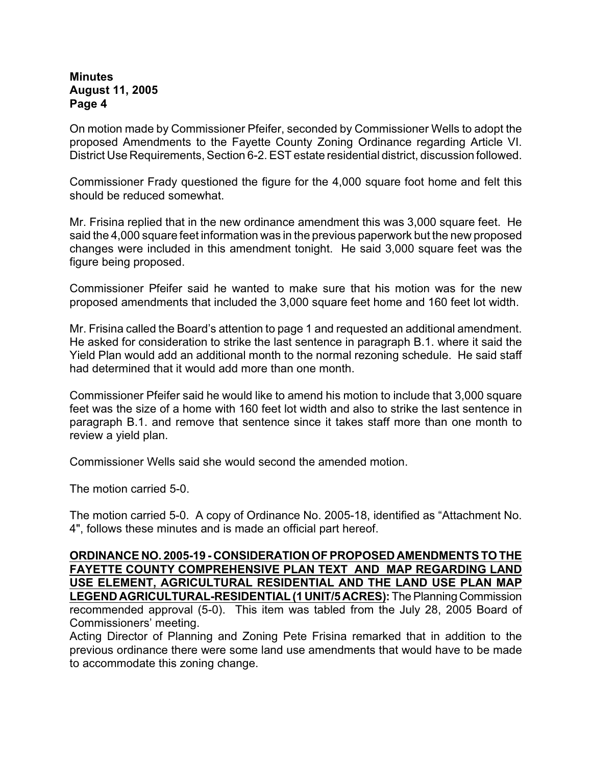On motion made by Commissioner Pfeifer, seconded by Commissioner Wells to adopt the proposed Amendments to the Fayette County Zoning Ordinance regarding Article VI. District Use Requirements, Section 6-2. EST estate residential district, discussion followed.

Commissioner Frady questioned the figure for the 4,000 square foot home and felt this should be reduced somewhat.

Mr. Frisina replied that in the new ordinance amendment this was 3,000 square feet. He said the 4,000 square feet information was in the previous paperwork but the new proposed changes were included in this amendment tonight. He said 3,000 square feet was the figure being proposed.

Commissioner Pfeifer said he wanted to make sure that his motion was for the new proposed amendments that included the 3,000 square feet home and 160 feet lot width.

Mr. Frisina called the Board's attention to page 1 and requested an additional amendment. He asked for consideration to strike the last sentence in paragraph B.1. where it said the Yield Plan would add an additional month to the normal rezoning schedule. He said staff had determined that it would add more than one month.

Commissioner Pfeifer said he would like to amend his motion to include that 3,000 square feet was the size of a home with 160 feet lot width and also to strike the last sentence in paragraph B.1. and remove that sentence since it takes staff more than one month to review a yield plan.

Commissioner Wells said she would second the amended motion.

The motion carried 5-0.

The motion carried 5-0. A copy of Ordinance No. 2005-18, identified as "Attachment No. 4", follows these minutes and is made an official part hereof.

**ORDINANCE NO. 2005-19 - CONSIDERATION OF PROPOSED AMENDMENTS TO THE FAYETTE COUNTY COMPREHENSIVE PLAN TEXT AND MAP REGARDING LAND USE ELEMENT, AGRICULTURAL RESIDENTIAL AND THE LAND USE PLAN MAP LEGEND AGRICULTURAL-RESIDENTIAL (1 UNIT/5 ACRES):** The Planning Commission recommended approval (5-0). This item was tabled from the July 28, 2005 Board of Commissioners' meeting.

Acting Director of Planning and Zoning Pete Frisina remarked that in addition to the previous ordinance there were some land use amendments that would have to be made to accommodate this zoning change.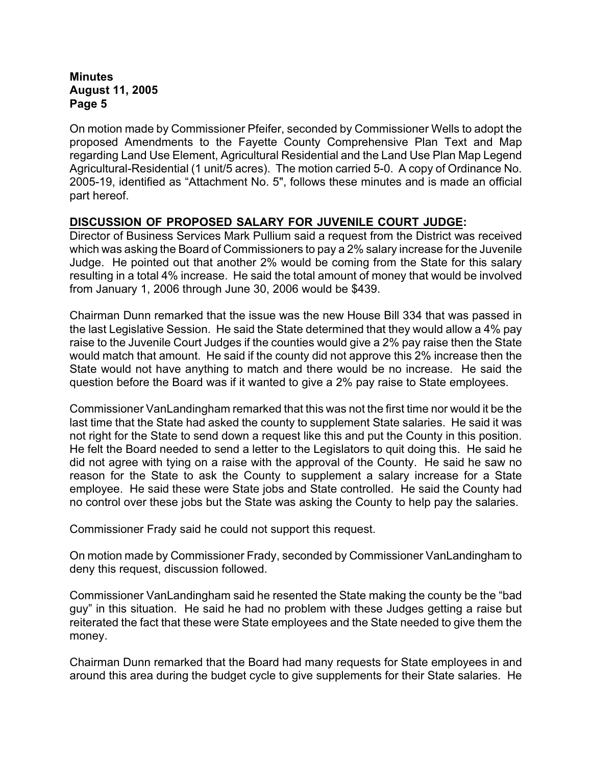On motion made by Commissioner Pfeifer, seconded by Commissioner Wells to adopt the proposed Amendments to the Fayette County Comprehensive Plan Text and Map regarding Land Use Element, Agricultural Residential and the Land Use Plan Map Legend Agricultural-Residential (1 unit/5 acres). The motion carried 5-0. A copy of Ordinance No. 2005-19, identified as "Attachment No. 5", follows these minutes and is made an official part hereof.

# **DISCUSSION OF PROPOSED SALARY FOR JUVENILE COURT JUDGE:**

Director of Business Services Mark Pullium said a request from the District was received which was asking the Board of Commissioners to pay a 2% salary increase for the Juvenile Judge. He pointed out that another 2% would be coming from the State for this salary resulting in a total 4% increase. He said the total amount of money that would be involved from January 1, 2006 through June 30, 2006 would be \$439.

Chairman Dunn remarked that the issue was the new House Bill 334 that was passed in the last Legislative Session. He said the State determined that they would allow a 4% pay raise to the Juvenile Court Judges if the counties would give a 2% pay raise then the State would match that amount. He said if the county did not approve this 2% increase then the State would not have anything to match and there would be no increase. He said the question before the Board was if it wanted to give a 2% pay raise to State employees.

Commissioner VanLandingham remarked that this was not the first time nor would it be the last time that the State had asked the county to supplement State salaries. He said it was not right for the State to send down a request like this and put the County in this position. He felt the Board needed to send a letter to the Legislators to quit doing this. He said he did not agree with tying on a raise with the approval of the County. He said he saw no reason for the State to ask the County to supplement a salary increase for a State employee. He said these were State jobs and State controlled. He said the County had no control over these jobs but the State was asking the County to help pay the salaries.

Commissioner Frady said he could not support this request.

On motion made by Commissioner Frady, seconded by Commissioner VanLandingham to deny this request, discussion followed.

Commissioner VanLandingham said he resented the State making the county be the "bad guy" in this situation. He said he had no problem with these Judges getting a raise but reiterated the fact that these were State employees and the State needed to give them the money.

Chairman Dunn remarked that the Board had many requests for State employees in and around this area during the budget cycle to give supplements for their State salaries. He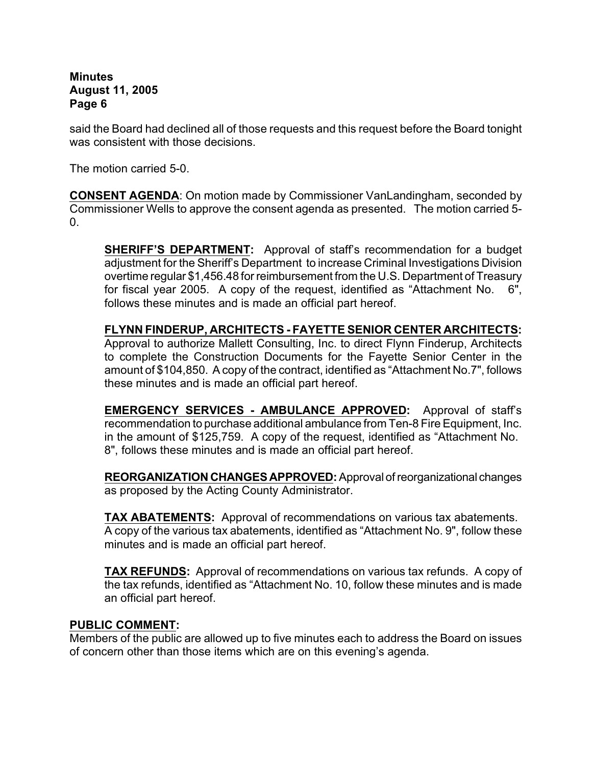said the Board had declined all of those requests and this request before the Board tonight was consistent with those decisions.

The motion carried 5-0.

**CONSENT AGENDA**: On motion made by Commissioner VanLandingham, seconded by Commissioner Wells to approve the consent agenda as presented. The motion carried 5- 0.

**SHERIFF'S DEPARTMENT:** Approval of staff's recommendation for a budget adjustment for the Sheriff's Department to increase Criminal Investigations Division overtime regular \$1,456.48 for reimbursement from the U.S. Department of Treasury for fiscal year 2005. A copy of the request, identified as "Attachment No. 6", follows these minutes and is made an official part hereof.

**FLYNN FINDERUP, ARCHITECTS - FAYETTE SENIOR CENTER ARCHITECTS:** Approval to authorize Mallett Consulting, Inc. to direct Flynn Finderup, Architects to complete the Construction Documents for the Fayette Senior Center in the amount of \$104,850. A copy of the contract, identified as "Attachment No.7", follows these minutes and is made an official part hereof.

**EMERGENCY SERVICES - AMBULANCE APPROVED:** Approval of staff's recommendation to purchase additional ambulance from Ten-8 Fire Equipment, Inc. in the amount of \$125,759. A copy of the request, identified as "Attachment No. 8", follows these minutes and is made an official part hereof.

**REORGANIZATION CHANGES APPROVED:**Approval of reorganizational changes as proposed by the Acting County Administrator.

**TAX ABATEMENTS:** Approval of recommendations on various tax abatements. A copy of the various tax abatements, identified as "Attachment No. 9", follow these minutes and is made an official part hereof.

**TAX REFUNDS:** Approval of recommendations on various tax refunds. A copy of the tax refunds, identified as "Attachment No. 10, follow these minutes and is made an official part hereof.

### **PUBLIC COMMENT:**

Members of the public are allowed up to five minutes each to address the Board on issues of concern other than those items which are on this evening's agenda.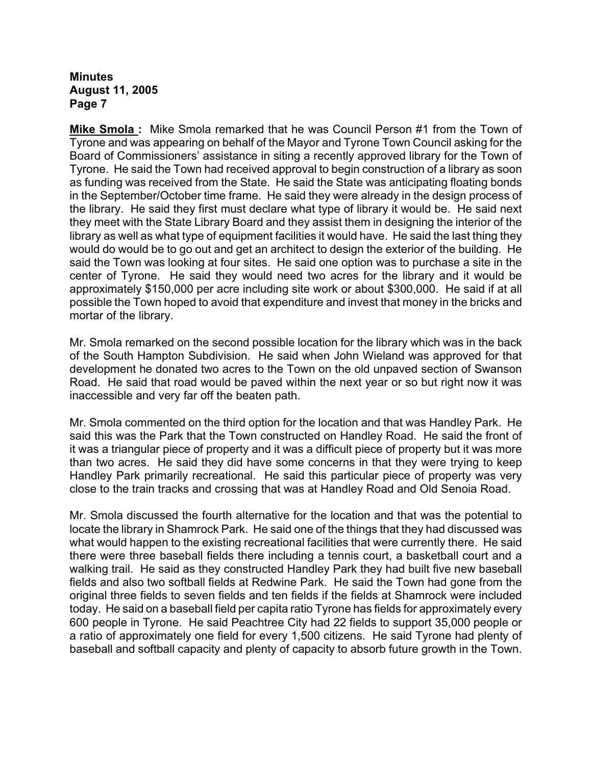**Mike Smola :** Mike Smola remarked that he was Council Person #1 from the Town of Tyrone and was appearing on behalf of the Mayor and Tyrone Town Council asking for the Board of Commissioners' assistance in siting a recently approved library for the Town of Tyrone. He said the Town had received approval to begin construction of a library as soon as funding was received from the State. He said the State was anticipating floating bonds in the September/October time frame. He said they were already in the design process of the library. He said they first must declare what type of library it would be. He said next they meet with the State Library Board and they assist them in designing the interior of the library as well as what type of equipment facilities it would have. He said the last thing they would do would be to go out and get an architect to design the exterior of the building. He said the Town was looking at four sites. He said one option was to purchase a site in the center of Tyrone. He said they would need two acres for the library and it would be approximately \$150,000 per acre including site work or about \$300,000. He said if at all possible the Town hoped to avoid that expenditure and invest that money in the bricks and mortar of the library.

Mr. Smola remarked on the second possible location for the library which was in the back of the South Hampton Subdivision. He said when John Wieland was approved for that development he donated two acres to the Town on the old unpaved section of Swanson Road. He said that road would be paved within the next year or so but right now it was inaccessible and very far off the beaten path.

Mr. Smola commented on the third option for the location and that was Handley Park. He said this was the Park that the Town constructed on Handley Road. He said the front of it was a triangular piece of property and it was a difficult piece of property but it was more than two acres. He said they did have some concerns in that they were trying to keep Handley Park primarily recreational. He said this particular piece of property was very close to the train tracks and crossing that was at Handley Road and Old Senoia Road.

Mr. Smola discussed the fourth alternative for the location and that was the potential to locate the library in Shamrock Park. He said one of the things that they had discussed was what would happen to the existing recreational facilities that were currently there. He said there were three baseball fields there including a tennis court, a basketball court and a walking trail. He said as they constructed Handley Park they had built five new baseball fields and also two softball fields at Redwine Park. He said the Town had gone from the original three fields to seven fields and ten fields if the fields at Shamrock were included today. He said on a baseball field per capita ratio Tyrone has fields for approximately every 600 people in Tyrone. He said Peachtree City had 22 fields to support 35,000 people or a ratio of approximately one field for every 1,500 citizens. He said Tyrone had plenty of baseball and softball capacity and plenty of capacity to absorb future growth in the Town.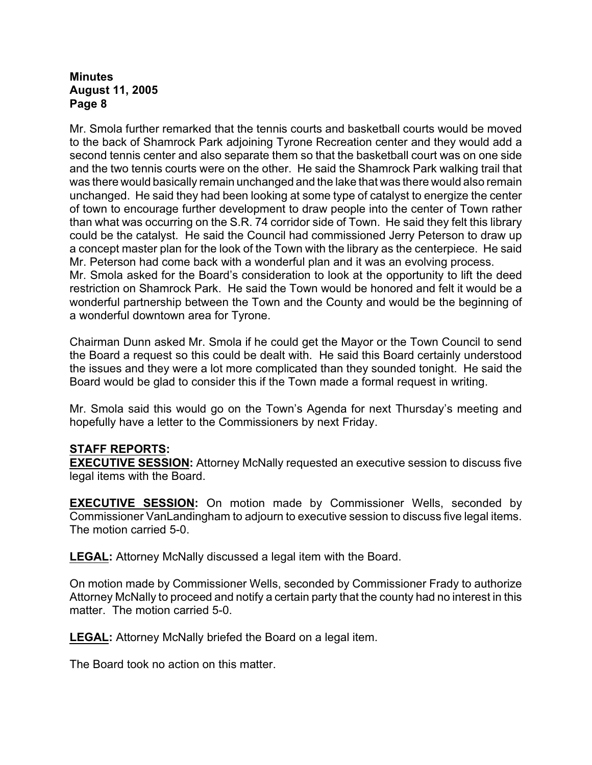Mr. Smola further remarked that the tennis courts and basketball courts would be moved to the back of Shamrock Park adjoining Tyrone Recreation center and they would add a second tennis center and also separate them so that the basketball court was on one side and the two tennis courts were on the other. He said the Shamrock Park walking trail that was there would basically remain unchanged and the lake that was there would also remain unchanged. He said they had been looking at some type of catalyst to energize the center of town to encourage further development to draw people into the center of Town rather than what was occurring on the S.R. 74 corridor side of Town. He said they felt this library could be the catalyst. He said the Council had commissioned Jerry Peterson to draw up a concept master plan for the look of the Town with the library as the centerpiece. He said Mr. Peterson had come back with a wonderful plan and it was an evolving process. Mr. Smola asked for the Board's consideration to look at the opportunity to lift the deed

restriction on Shamrock Park. He said the Town would be honored and felt it would be a wonderful partnership between the Town and the County and would be the beginning of a wonderful downtown area for Tyrone.

Chairman Dunn asked Mr. Smola if he could get the Mayor or the Town Council to send the Board a request so this could be dealt with. He said this Board certainly understood the issues and they were a lot more complicated than they sounded tonight. He said the Board would be glad to consider this if the Town made a formal request in writing.

Mr. Smola said this would go on the Town's Agenda for next Thursday's meeting and hopefully have a letter to the Commissioners by next Friday.

# **STAFF REPORTS:**

**EXECUTIVE SESSION:** Attorney McNally requested an executive session to discuss five legal items with the Board.

**EXECUTIVE SESSION:** On motion made by Commissioner Wells, seconded by Commissioner VanLandingham to adjourn to executive session to discuss five legal items. The motion carried 5-0.

**LEGAL:** Attorney McNally discussed a legal item with the Board.

On motion made by Commissioner Wells, seconded by Commissioner Frady to authorize Attorney McNally to proceed and notify a certain party that the county had no interest in this matter. The motion carried 5-0.

**LEGAL:** Attorney McNally briefed the Board on a legal item.

The Board took no action on this matter.